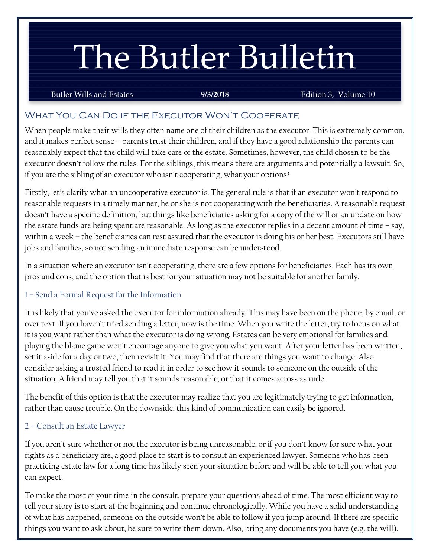# The Butler Bulletin

#### Butler Wills and Estates **9/3/2018** Edition 3, Volume 10

## What You Can Do if the Executor Won't Cooperate

When people make their wills they often name one of their children as the executor. This is extremely common, and it makes perfect sense – parents trust their children, and if they have a good relationship the parents can reasonably expect that the child will take care of the estate. Sometimes, however, the child chosen to be the executor doesn't follow the rules. For the siblings, this means there are arguments and potentially a lawsuit. So, if you are the sibling of an executor who isn't cooperating, what your options?

Firstly, let's clarify what an uncooperative executor is. The general rule is that if an executor won't respond to reasonable requests in a timely manner, he or she is not cooperating with the beneficiaries. A reasonable request doesn't have a specific definition, but things like beneficiaries asking for a copy of the will or an update on how the estate funds are being spent are reasonable. As long as the executor replies in a decent amount of time – say, within a week – the beneficiaries can rest assured that the executor is doing his or her best. Executors still have jobs and families, so not sending an immediate response can be understood.

In a situation where an executor isn't cooperating, there are a few options for beneficiaries. Each has its own pros and cons, and the option that is best for your situation may not be suitable for another family.

#### 1 – Send a Formal Request for the Information

It is likely that you've asked the executor for information already. This may have been on the phone, by email, or over text. If you haven't tried sending a letter, now is the time. When you write the letter, try to focus on what it is you want rather than what the executor is doing wrong. Estates can be very emotional for families and playing the blame game won't encourage anyone to give you what you want. After your letter has been written, set it aside for a day or two, then revisit it. You may find that there are things you want to change. Also, consider asking a trusted friend to read it in order to see how it sounds to someone on the outside of the situation. A friend may tell you that it sounds reasonable, or that it comes across as rude.

The benefit of this option is that the executor may realize that you are legitimately trying to get information, rather than cause trouble. On the downside, this kind of communication can easily be ignored.

#### 2 – Consult an Estate Lawyer

If you aren't sure whether or not the executor is being unreasonable, or if you don't know for sure what your rights as a beneficiary are, a good place to start is to consult an experienced lawyer. Someone who has been practicing estate law for a long time has likely seen your situation before and will be able to tell you what you can expect.

To make the most of your time in the consult, prepare your questions ahead of time. The most efficient way to tell your story is to start at the beginning and continue chronologically. While you have a solid understanding of what has happened, someone on the outside won't be able to follow if you jump around. If there are specific things you want to ask about, be sure to write them down. Also, bring any documents you have (e.g. the will).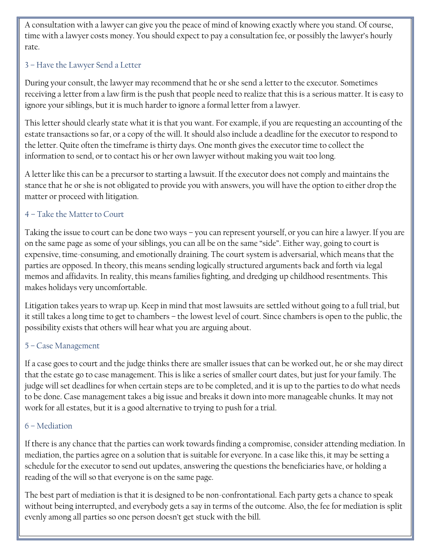A consultation with a lawyer can give you the peace of mind of knowing exactly where you stand. Of course, time with a lawyer costs money. You should expect to pay a consultation fee, or possibly the lawyer's hourly rate.

## 3 – Have the Lawyer Send a Letter

During your consult, the lawyer may recommend that he or she send a letter to the executor. Sometimes receiving a letter from a law firm is the push that people need to realize that this is a serious matter. It is easy to ignore your siblings, but it is much harder to ignore a formal letter from a lawyer.

This letter should clearly state what it is that you want. For example, if you are requesting an accounting of the estate transactions so far, or a copy of the will. It should also include a deadline for the executor to respond to the letter. Quite often the timeframe is thirty days. One month gives the executor time to collect the information to send, or to contact his or her own lawyer without making you wait too long.

A letter like this can be a precursor to starting a lawsuit. If the executor does not comply and maintains the stance that he or she is not obligated to provide you with answers, you will have the option to either drop the matter or proceed with litigation.

### 4 – Take the Matter to Court

Taking the issue to court can be done two ways – you can represent yourself, or you can hire a lawyer. If you are on the same page as some of your siblings, you can all be on the same "side". Either way, going to court is expensive, time-consuming, and emotionally draining. The court system is adversarial, which means that the parties are opposed. In theory, this means sending logically structured arguments back and forth via legal memos and affidavits. In reality, this means families fighting, and dredging up childhood resentments. This makes holidays very uncomfortable.

Litigation takes years to wrap up. Keep in mind that most lawsuits are settled without going to a full trial, but it still takes a long time to get to chambers – the lowest level of court. Since chambers is open to the public, the possibility exists that others will hear what you are arguing about.

## 5 – Case Management

If a case goes to court and the judge thinks there are smaller issues that can be worked out, he or she may direct that the estate go to case management. This is like a series of smaller court dates, but just for your family. The judge will set deadlines for when certain steps are to be completed, and it is up to the parties to do what needs to be done. Case management takes a big issue and breaks it down into more manageable chunks. It may not work for all estates, but it is a good alternative to trying to push for a trial.

## 6 – Mediation

If there is any chance that the parties can work towards finding a compromise, consider attending mediation. In mediation, the parties agree on a solution that is suitable for everyone. In a case like this, it may be setting a schedule for the executor to send out updates, answering the questions the beneficiaries have, or holding a reading of the will so that everyone is on the same page.

The best part of mediation is that it is designed to be non-confrontational. Each party gets a chance to speak without being interrupted, and everybody gets a say in terms of the outcome. Also, the fee for mediation is split evenly among all parties so one person doesn't get stuck with the bill.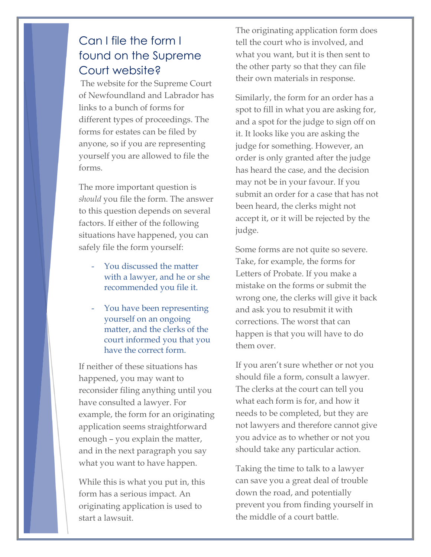# Can I file the form I found on the Supreme Court website?

The website for the Supreme Court of Newfoundland and Labrador has links to a bunch of forms for different types of proceedings. The forms for estates can be filed by anyone, so if you are representing yourself you are allowed to file the forms.

The more important question is *should* you file the form. The answer to this question depends on several factors. If either of the following situations have happened, you can safely file the form yourself:

- You discussed the matter with a lawyer, and he or she recommended you file it.
- You have been representing yourself on an ongoing matter, and the clerks of the court informed you that you have the correct form.

If neither of these situations has happened, you may want to reconsider filing anything until you have consulted a lawyer. For example, the form for an originating application seems straightforward enough – you explain the matter, and in the next paragraph you say what you want to have happen.

While this is what you put in, this form has a serious impact. An originating application is used to start a lawsuit.

The originating application form does tell the court who is involved, and what you want, but it is then sent to the other party so that they can file their own materials in response.

Similarly, the form for an order has a spot to fill in what you are asking for, and a spot for the judge to sign off on it. It looks like you are asking the judge for something. However, an order is only granted after the judge has heard the case, and the decision may not be in your favour. If you submit an order for a case that has not been heard, the clerks might not accept it, or it will be rejected by the judge.

Some forms are not quite so severe. Take, for example, the forms for Letters of Probate. If you make a mistake on the forms or submit the wrong one, the clerks will give it back and ask you to resubmit it with corrections. The worst that can happen is that you will have to do them over.

If you aren't sure whether or not you should file a form, consult a lawyer. The clerks at the court can tell you what each form is for, and how it needs to be completed, but they are not lawyers and therefore cannot give you advice as to whether or not you should take any particular action.

Taking the time to talk to a lawyer can save you a great deal of trouble down the road, and potentially prevent you from finding yourself in the middle of a court battle.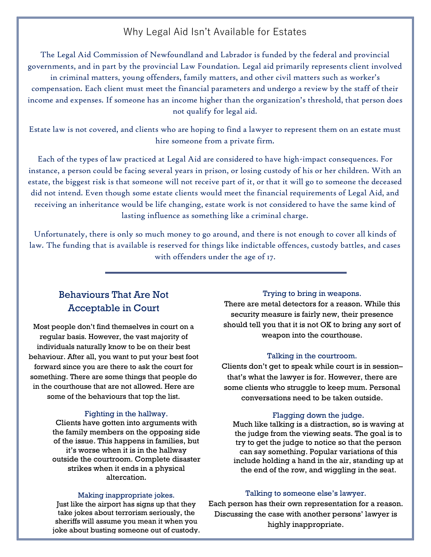## Why Legal Aid Isn't Available for Estates

The Legal Aid Commission of Newfoundland and Labrador is funded by the federal and provincial governments, and in part by the provincial Law Foundation. Legal aid primarily represents client involved in criminal matters, young offenders, family matters, and other civil matters such as worker's compensation. Each client must meet the financial parameters and undergo a review by the staff of their income and expenses. If someone has an income higher than the organization's threshold, that person does not qualify for legal aid.

Estate law is not covered, and clients who are hoping to find a lawyer to represent them on an estate must hire someone from a private firm.

Each of the types of law practiced at Legal Aid are considered to have high-impact consequences. For instance, a person could be facing several years in prison, or losing custody of his or her children. With an estate, the biggest risk is that someone will not receive part of it, or that it will go to someone the deceased did not intend. Even though some estate clients would meet the financial requirements of Legal Aid, and receiving an inheritance would be life changing, estate work is not considered to have the same kind of lasting influence as something like a criminal charge.

Unfortunately, there is only so much money to go around, and there is not enough to cover all kinds of law. The funding that is available is reserved for things like indictable offences, custody battles, and cases with offenders under the age of 17.

## Behaviours That Are Not Acceptable in Court

Most people don't find themselves in court on a regular basis. However, the vast majority of individuals naturally know to be on their best behaviour. After all, you want to put your best foot forward since you are there to ask the court for something. There are some things that people do in the courthouse that are not allowed. Here are some of the behaviours that top the list.

#### Fighting in the hallway.

Clients have gotten into arguments with the family members on the opposing side of the issue. This happens in families, but it's worse when it is in the hallway outside the courtroom. Complete disaster strikes when it ends in a physical altercation.

#### Making inappropriate jokes.

Just like the airport has signs up that they take jokes about terrorism seriously, the sheriffs will assume you mean it when you joke about busting someone out of custody.

#### Trying to bring in weapons.

There are metal detectors for a reason. While this security measure is fairly new, their presence should tell you that it is not OK to bring any sort of weapon into the courthouse.

#### Talking in the courtroom.

Clients don't get to speak while court is in session– that's what the lawyer is for. However, there are some clients who struggle to keep mum. Personal conversations need to be taken outside.

#### Flagging down the judge.

Much like talking is a distraction, so is waving at the judge from the viewing seats. The goal is to try to get the judge to notice so that the person can say something. Popular variations of this include holding a hand in the air, standing up at the end of the row, and wiggling in the seat.

#### Talking to someone else's lawyer.

Each person has their own representation for a reason. Discussing the case with another persons' lawyer is highly inappropriate.